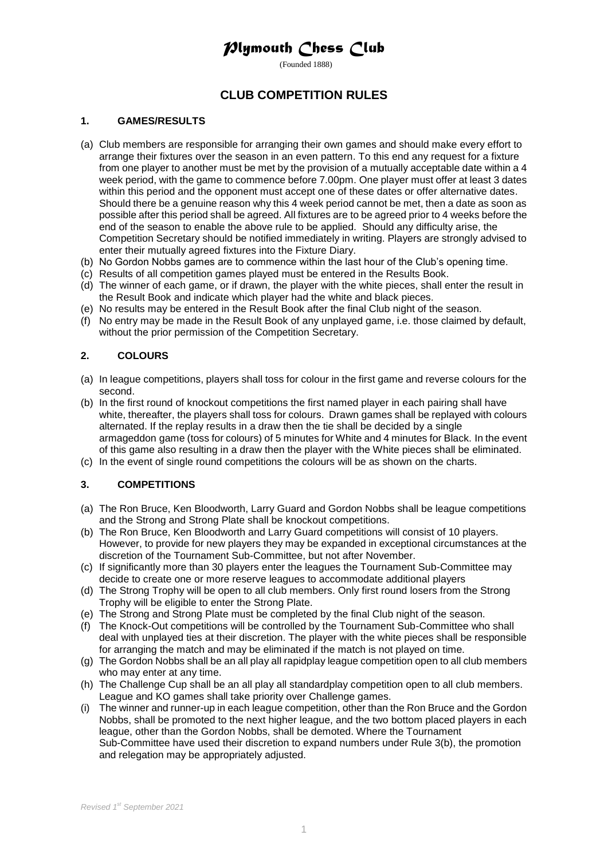## *Plymouth Chess Club*

(Founded 1888)

## **CLUB COMPETITION RULES**

#### **1. GAMES/RESULTS**

- (a) Club members are responsible for arranging their own games and should make every effort to arrange their fixtures over the season in an even pattern. To this end any request for a fixture from one player to another must be met by the provision of a mutually acceptable date within a 4 week period, with the game to commence before 7.00pm. One player must offer at least 3 dates within this period and the opponent must accept one of these dates or offer alternative dates. Should there be a genuine reason why this 4 week period cannot be met, then a date as soon as possible after this period shall be agreed. All fixtures are to be agreed prior to 4 weeks before the end of the season to enable the above rule to be applied. Should any difficulty arise, the Competition Secretary should be notified immediately in writing. Players are strongly advised to enter their mutually agreed fixtures into the Fixture Diary.
- (b) No Gordon Nobbs games are to commence within the last hour of the Club's opening time.
- (c) Results of all competition games played must be entered in the Results Book.
- (d) The winner of each game, or if drawn, the player with the white pieces, shall enter the result in the Result Book and indicate which player had the white and black pieces.
- (e) No results may be entered in the Result Book after the final Club night of the season.
- (f) No entry may be made in the Result Book of any unplayed game, i.e. those claimed by default, without the prior permission of the Competition Secretary.

### **2. COLOURS**

- (a) In league competitions, players shall toss for colour in the first game and reverse colours for the second.
- (b) In the first round of knockout competitions the first named player in each pairing shall have white, thereafter, the players shall toss for colours. Drawn games shall be replayed with colours alternated. If the replay results in a draw then the tie shall be decided by a single armageddon game (toss for colours) of 5 minutes for White and 4 minutes for Black. In the event of this game also resulting in a draw then the player with the White pieces shall be eliminated.
- (c) In the event of single round competitions the colours will be as shown on the charts.

### **3. COMPETITIONS**

- (a) The Ron Bruce, Ken Bloodworth, Larry Guard and Gordon Nobbs shall be league competitions and the Strong and Strong Plate shall be knockout competitions.
- (b) The Ron Bruce, Ken Bloodworth and Larry Guard competitions will consist of 10 players. However, to provide for new players they may be expanded in exceptional circumstances at the discretion of the Tournament Sub-Committee, but not after November.
- (c) If significantly more than 30 players enter the leagues the Tournament Sub-Committee may decide to create one or more reserve leagues to accommodate additional players
- (d) The Strong Trophy will be open to all club members. Only first round losers from the Strong Trophy will be eligible to enter the Strong Plate.
- (e) The Strong and Strong Plate must be completed by the final Club night of the season.
- (f) The Knock-Out competitions will be controlled by the Tournament Sub-Committee who shall deal with unplayed ties at their discretion. The player with the white pieces shall be responsible for arranging the match and may be eliminated if the match is not played on time.
- (g) The Gordon Nobbs shall be an all play all rapidplay league competition open to all club members who may enter at any time.
- (h) The Challenge Cup shall be an all play all standardplay competition open to all club members. League and KO games shall take priority over Challenge games.
- (i) The winner and runner-up in each league competition, other than the Ron Bruce and the Gordon Nobbs, shall be promoted to the next higher league, and the two bottom placed players in each league, other than the Gordon Nobbs, shall be demoted. Where the Tournament Sub-Committee have used their discretion to expand numbers under Rule 3(b), the promotion and relegation may be appropriately adjusted.